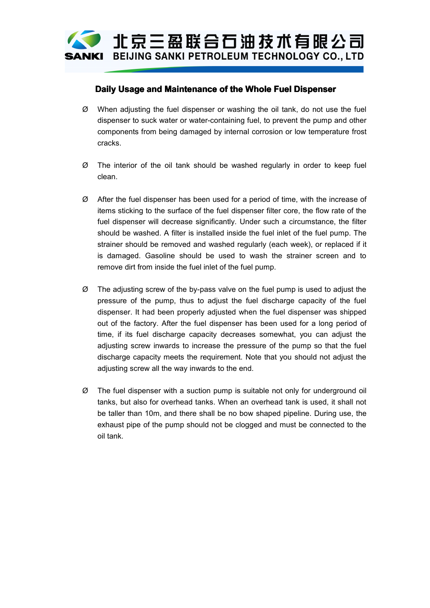

## **Daily Usage and Maintenance of the Whole Fuel Dispenser**

- <sup>Ø</sup> When adjusting the fuel dispenser or washing the oil tank, do not use the fuel dispenser to suck water or water-containing fuel, to prevent the pump and other components from being damaged by internal corrosion or low temperature frost cracks.
- clean.
- <sup>Ø</sup> The interior of the oil tank should be washed regularly in order to keep fuel <sup>Ø</sup> After the fuel dispenser has been used for <sup>a</sup> period of time, with the increase of items sticking to the surface of the fuel dispenser filter core, the flow rate of the fuel dispenser will decrease significantly. Under such <sup>a</sup> circumstance, the filter should be washed. A filter is installed inside the fuel inlet of the fuel pump. The strainer should be removed and washed regularly (each week), or replaced if it is damaged. Gasoline should be used to wash the strainer screen and to remove dirt from inside the fuel inlet of the fuel pump.
- <sup>Ø</sup> The adjusting screw of the by-pass valve on the fuel pump is used to adjust the pressure of the pump, thus to adjust the fuel discharge capacity of the fuel dispenser. It had been properly adjusted when the fuel dispenser was shipped out of the factory. After the fuel dispenser has been used for <sup>a</sup> long period of time, if its fuel discharge capacity decreases somewhat, you can adjust the adjusting screw inwards to increase the pressure of the pump so that the fuel discharge capacity meets the requirement. Note that you should not adjust the adjusting screw all the way inwards to the end.
- <sup>Ø</sup> The fuel dispenser with <sup>a</sup> suction pump is suitable not only for underground oil tanks, but also for overhead tanks. When an overhead tank is used, it shall not be taller than 10m, and there shall be no bow shaped pipeline. During use, the exhaust pipe of the pump should not be clogged and must be connected to the oil tank.